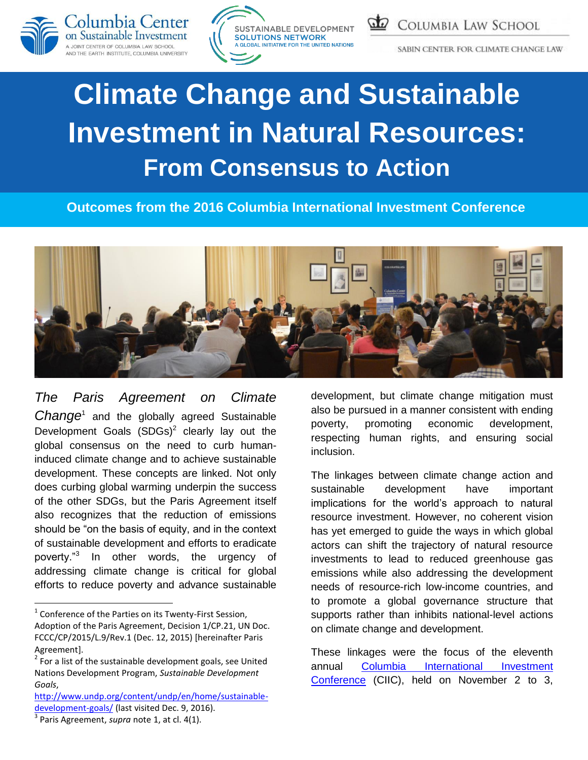





SABIN CENTER FOR CLIMATE CHANGE LAW

# **Climate Change and Sustainable Investment in Natural Resources: From Consensus to Action**

 **Outcomes from the 2016 Columbia International Investment Conference**



<span id="page-0-0"></span>*The Paris Agreement on Climate*  Change<sup>1</sup> and the globally agreed Sustainable Development Goals  $(SDGs)^2$  clearly lay out the global consensus on the need to curb humaninduced climate change and to achieve sustainable development. These concepts are linked. Not only does curbing global warming underpin the success of the other SDGs, but the Paris Agreement itself also recognizes that the reduction of emissions should be "on the basis of equity, and in the context of sustainable development and efforts to eradicate poverty."<sup>3</sup> In other words, the urgency of addressing climate change is critical for global efforts to reduce poverty and advance sustainable

development, but climate change mitigation must also be pursued in a manner consistent with ending poverty, promoting economic development, respecting human rights, and ensuring social inclusion.

The linkages between climate change action and sustainable development have important implications for the world's approach to natural resource investment. However, no coherent vision has yet emerged to guide the ways in which global actors can shift the trajectory of natural resource investments to lead to reduced greenhouse gas emissions while also addressing the development needs of resource-rich low-income countries, and to promote a global governance structure that supports rather than inhibits national-level actions on climate change and development.

These linkages were the focus of the eleventh annual [Columbia International Investment](http://ccsi.columbia.edu/2016/11/02/11th-annual-columbia-international-investment-conference-climate-change-and-sustainable-investment-in-natural-resources-from-consensus-to-action/)  [Conference](http://ccsi.columbia.edu/2016/11/02/11th-annual-columbia-international-investment-conference-climate-change-and-sustainable-investment-in-natural-resources-from-consensus-to-action/) (CIIC), held on November 2 to 3,

 1 Conference of the Parties on its Twenty-First Session, Adoption of the Paris Agreement, Decision 1/CP.21, UN Doc. FCCC/CP/2015/L.9/Rev.1 (Dec. 12, 2015) [hereinafter Paris Agreement].

 $2^{2}$  For a list of the sustainable development goals, see United Nations Development Program, *Sustainable Development Goals*,

[http://www.undp.org/content/undp/en/home/sustainable](http://www.undp.org/content/undp/en/home/sustainable-development-goals/)[development-goals/](http://www.undp.org/content/undp/en/home/sustainable-development-goals/) (last visited Dec. 9, 2016).

<sup>3</sup> Paris Agreement, *supra* note [1,](#page-0-0) at cl. 4(1).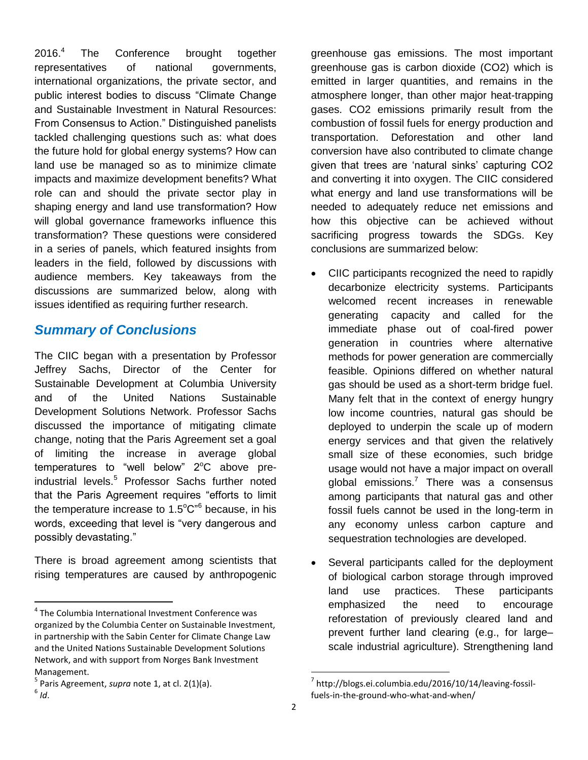2016.<sup>4</sup> The Conference brought together representatives of national governments, international organizations, the private sector, and public interest bodies to discuss "Climate Change and Sustainable Investment in Natural Resources: From Consensus to Action." Distinguished panelists tackled challenging questions such as: what does the future hold for global energy systems? How can land use be managed so as to minimize climate impacts and maximize development benefits? What role can and should the private sector play in shaping energy and land use transformation? How will global governance frameworks influence this transformation? These questions were considered in a series of panels, which featured insights from leaders in the field, followed by discussions with audience members. Key takeaways from the discussions are summarized below, along with issues identified as requiring further research.

#### *Summary of Conclusions*

The CIIC began with a presentation by Professor Jeffrey Sachs, Director of the Center for Sustainable Development at Columbia University and of the United Nations Sustainable Development Solutions Network. Professor Sachs discussed the importance of mitigating climate change, noting that the Paris Agreement set a goal of limiting the increase in average global temperatures to "well below"  $2^{\circ}$ C above preindustrial levels. <sup>5</sup> Professor Sachs further noted that the Paris Agreement requires "efforts to limit the temperature increase to 1.5 $^{\circ}$ C" $^{\circ}$  because, in his words, exceeding that level is "very dangerous and possibly devastating."

There is broad agreement among scientists that rising temperatures are caused by anthropogenic

 $\overline{\phantom{a}}$ 

greenhouse gas emissions. The most important greenhouse gas is carbon dioxide (CO2) which is emitted in larger quantities, and remains in the atmosphere longer, than other major heat-trapping gases. CO2 emissions primarily result from the combustion of fossil fuels for energy production and transportation. Deforestation and other land conversion have also contributed to climate change given that trees are 'natural sinks' capturing CO2 and converting it into oxygen. The CIIC considered what energy and land use transformations will be needed to adequately reduce net emissions and how this objective can be achieved without sacrificing progress towards the SDGs. Key conclusions are summarized below:

- CIIC participants recognized the need to rapidly decarbonize electricity systems. Participants welcomed recent increases in renewable generating capacity and called for the immediate phase out of coal-fired power generation in countries where alternative methods for power generation are commercially feasible. Opinions differed on whether natural gas should be used as a short-term bridge fuel. Many felt that in the context of energy hungry low income countries, natural gas should be deployed to underpin the scale up of modern energy services and that given the relatively small size of these economies, such bridge usage would not have a major impact on overall global emissions.<sup>7</sup> There was a consensus among participants that natural gas and other fossil fuels cannot be used in the long-term in any economy unless carbon capture and sequestration technologies are developed.
- Several participants called for the deployment of biological carbon storage through improved land use practices. These participants emphasized the need to encourage reforestation of previously cleared land and prevent further land clearing (e.g., for large– scale industrial agriculture). Strengthening land

 $\overline{\phantom{a}}$ 

<sup>&</sup>lt;sup>4</sup> The Columbia International Investment Conference was organized by the Columbia Center on Sustainable Investment, in partnership with the Sabin Center for Climate Change Law and the United Nations Sustainable Development Solutions Network, and with support from Norges Bank Investment Management.

<sup>5</sup> Paris Agreement, *supra* note [1,](#page-0-0) at cl. 2(1)(a). 6 *Id*.

<sup>&</sup>lt;sup>7</sup> http://blogs.ei.columbia.edu/2016/10/14/leaving-fossilfuels-in-the-ground-who-what-and-when/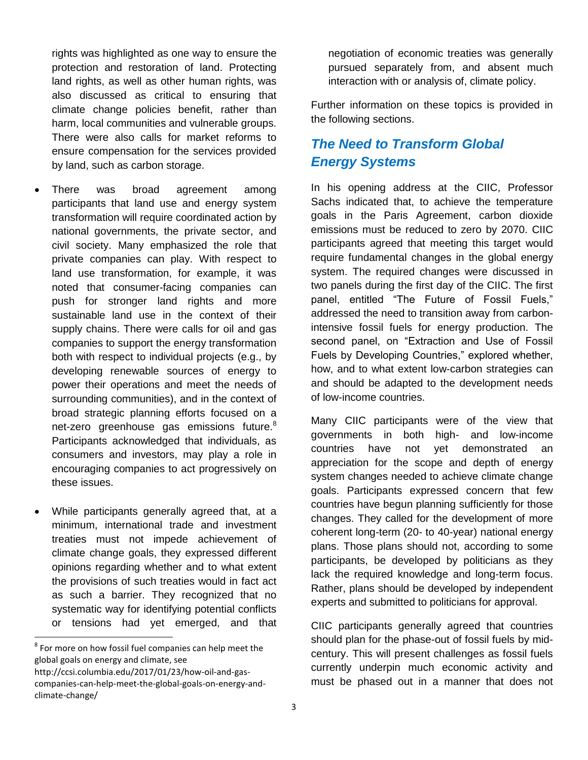rights was highlighted as one way to ensure the protection and restoration of land. Protecting land rights, as well as other human rights, was also discussed as critical to ensuring that climate change policies benefit, rather than harm, local communities and vulnerable groups. There were also calls for market reforms to ensure compensation for the services provided by land, such as carbon storage.

- There was broad agreement among participants that land use and energy system transformation will require coordinated action by national governments, the private sector, and civil society. Many emphasized the role that private companies can play. With respect to land use transformation, for example, it was noted that consumer-facing companies can push for stronger land rights and more sustainable land use in the context of their supply chains. There were calls for oil and gas companies to support the energy transformation both with respect to individual projects (e.g., by developing renewable sources of energy to power their operations and meet the needs of surrounding communities), and in the context of broad strategic planning efforts focused on a net-zero greenhouse gas emissions future.<sup>8</sup> Participants acknowledged that individuals, as consumers and investors, may play a role in encouraging companies to act progressively on these issues.
- While participants generally agreed that, at a minimum, international trade and investment treaties must not impede achievement of climate change goals, they expressed different opinions regarding whether and to what extent the provisions of such treaties would in fact act as such a barrier. They recognized that no systematic way for identifying potential conflicts or tensions had yet emerged, and that

l

negotiation of economic treaties was generally pursued separately from, and absent much interaction with or analysis of, climate policy.

Further information on these topics is provided in the following sections.

## *The Need to Transform Global Energy Systems*

In his opening address at the CIIC, Professor Sachs indicated that, to achieve the temperature goals in the Paris Agreement, carbon dioxide emissions must be reduced to zero by 2070. CIIC participants agreed that meeting this target would require fundamental changes in the global energy system. The required changes were discussed in two panels during the first day of the CIIC. The first panel, entitled "The Future of Fossil Fuels," addressed the need to transition away from carbonintensive fossil fuels for energy production. The second panel, on "Extraction and Use of Fossil Fuels by Developing Countries," explored whether, how, and to what extent low-carbon strategies can and should be adapted to the development needs of low-income countries.

Many CIIC participants were of the view that governments in both high- and low-income countries have not yet demonstrated an appreciation for the scope and depth of energy system changes needed to achieve climate change goals. Participants expressed concern that few countries have begun planning sufficiently for those changes. They called for the development of more coherent long-term (20- to 40-year) national energy plans. Those plans should not, according to some participants, be developed by politicians as they lack the required knowledge and long-term focus. Rather, plans should be developed by independent experts and submitted to politicians for approval.

CIIC participants generally agreed that countries should plan for the phase-out of fossil fuels by midcentury. This will present challenges as fossil fuels currently underpin much economic activity and must be phased out in a manner that does not

 $8$  For more on how fossil fuel companies can help meet the global goals on energy and climate, see

http://ccsi.columbia.edu/2017/01/23/how-oil-and-gascompanies-can-help-meet-the-global-goals-on-energy-andclimate-change/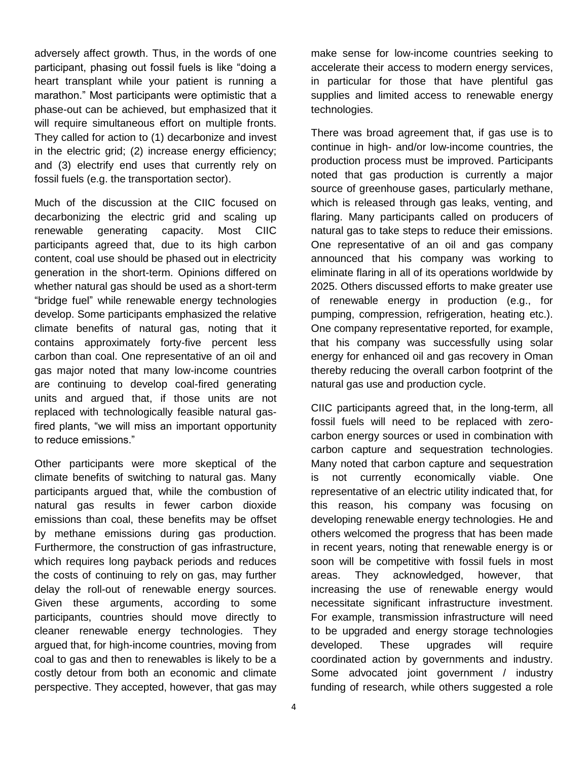adversely affect growth. Thus, in the words of one participant, phasing out fossil fuels is like "doing a heart transplant while your patient is running a marathon." Most participants were optimistic that a phase-out can be achieved, but emphasized that it will require simultaneous effort on multiple fronts. They called for action to (1) decarbonize and invest in the electric grid; (2) increase energy efficiency; and (3) electrify end uses that currently rely on fossil fuels (e.g. the transportation sector).

Much of the discussion at the CIIC focused on decarbonizing the electric grid and scaling up renewable generating capacity. Most CIIC participants agreed that, due to its high carbon content, coal use should be phased out in electricity generation in the short-term. Opinions differed on whether natural gas should be used as a short-term "bridge fuel" while renewable energy technologies develop. Some participants emphasized the relative climate benefits of natural gas, noting that it contains approximately forty-five percent less carbon than coal. One representative of an oil and gas major noted that many low-income countries are continuing to develop coal-fired generating units and argued that, if those units are not replaced with technologically feasible natural gasfired plants, "we will miss an important opportunity to reduce emissions."

Other participants were more skeptical of the climate benefits of switching to natural gas. Many participants argued that, while the combustion of natural gas results in fewer carbon dioxide emissions than coal, these benefits may be offset by methane emissions during gas production. Furthermore, the construction of gas infrastructure, which requires long payback periods and reduces the costs of continuing to rely on gas, may further delay the roll-out of renewable energy sources. Given these arguments, according to some participants, countries should move directly to cleaner renewable energy technologies. They argued that, for high-income countries, moving from coal to gas and then to renewables is likely to be a costly detour from both an economic and climate perspective. They accepted, however, that gas may

make sense for low-income countries seeking to accelerate their access to modern energy services, in particular for those that have plentiful gas supplies and limited access to renewable energy technologies.

There was broad agreement that, if gas use is to continue in high- and/or low-income countries, the production process must be improved. Participants noted that gas production is currently a major source of greenhouse gases, particularly methane, which is released through gas leaks, venting, and flaring. Many participants called on producers of natural gas to take steps to reduce their emissions. One representative of an oil and gas company announced that his company was working to eliminate flaring in all of its operations worldwide by 2025. Others discussed efforts to make greater use of renewable energy in production (e.g., for pumping, compression, refrigeration, heating etc.). One company representative reported, for example, that his company was successfully using solar energy for enhanced oil and gas recovery in Oman thereby reducing the overall carbon footprint of the natural gas use and production cycle.

CIIC participants agreed that, in the long-term, all fossil fuels will need to be replaced with zerocarbon energy sources or used in combination with carbon capture and sequestration technologies. Many noted that carbon capture and sequestration is not currently economically viable. One representative of an electric utility indicated that, for this reason, his company was focusing on developing renewable energy technologies. He and others welcomed the progress that has been made in recent years, noting that renewable energy is or soon will be competitive with fossil fuels in most areas. They acknowledged, however, that increasing the use of renewable energy would necessitate significant infrastructure investment. For example, transmission infrastructure will need to be upgraded and energy storage technologies developed. These upgrades will require coordinated action by governments and industry. Some advocated joint government / industry funding of research, while others suggested a role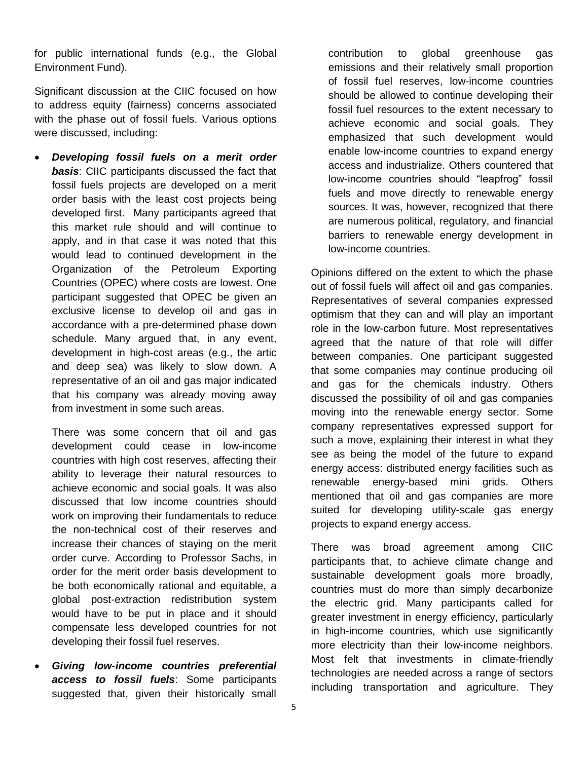for public international funds (e.g., the Global Environment Fund).

Significant discussion at the CIIC focused on how to address equity (fairness) concerns associated with the phase out of fossil fuels. Various options were discussed, including:

 *Developing fossil fuels on a merit order basis*: CIIC participants discussed the fact that fossil fuels projects are developed on a merit order basis with the least cost projects being developed first. Many participants agreed that this market rule should and will continue to apply, and in that case it was noted that this would lead to continued development in the Organization of the Petroleum Exporting Countries (OPEC) where costs are lowest. One participant suggested that OPEC be given an exclusive license to develop oil and gas in accordance with a pre-determined phase down schedule. Many argued that, in any event, development in high-cost areas (e.g., the artic and deep sea) was likely to slow down. A representative of an oil and gas major indicated that his company was already moving away from investment in some such areas.

There was some concern that oil and gas development could cease in low-income countries with high cost reserves, affecting their ability to leverage their natural resources to achieve economic and social goals. It was also discussed that low income countries should work on improving their fundamentals to reduce the non-technical cost of their reserves and increase their chances of staying on the merit order curve. According to Professor Sachs, in order for the merit order basis development to be both economically rational and equitable, a global post-extraction redistribution system would have to be put in place and it should compensate less developed countries for not developing their fossil fuel reserves.

 *Giving low-income countries preferential access to fossil fuels*: Some participants suggested that, given their historically small

contribution to global greenhouse gas emissions and their relatively small proportion of fossil fuel reserves, low-income countries should be allowed to continue developing their fossil fuel resources to the extent necessary to achieve economic and social goals. They emphasized that such development would enable low-income countries to expand energy access and industrialize. Others countered that low-income countries should "leapfrog" fossil fuels and move directly to renewable energy sources. It was, however, recognized that there are numerous political, regulatory, and financial barriers to renewable energy development in low-income countries.

Opinions differed on the extent to which the phase out of fossil fuels will affect oil and gas companies. Representatives of several companies expressed optimism that they can and will play an important role in the low-carbon future. Most representatives agreed that the nature of that role will differ between companies. One participant suggested that some companies may continue producing oil and gas for the chemicals industry. Others discussed the possibility of oil and gas companies moving into the renewable energy sector. Some company representatives expressed support for such a move, explaining their interest in what they see as being the model of the future to expand energy access: distributed energy facilities such as renewable energy-based mini grids. Others mentioned that oil and gas companies are more suited for developing utility-scale gas energy projects to expand energy access.

There was broad agreement among CIIC participants that, to achieve climate change and sustainable development goals more broadly, countries must do more than simply decarbonize the electric grid. Many participants called for greater investment in energy efficiency, particularly in high-income countries, which use significantly more electricity than their low-income neighbors. Most felt that investments in climate-friendly technologies are needed across a range of sectors including transportation and agriculture. They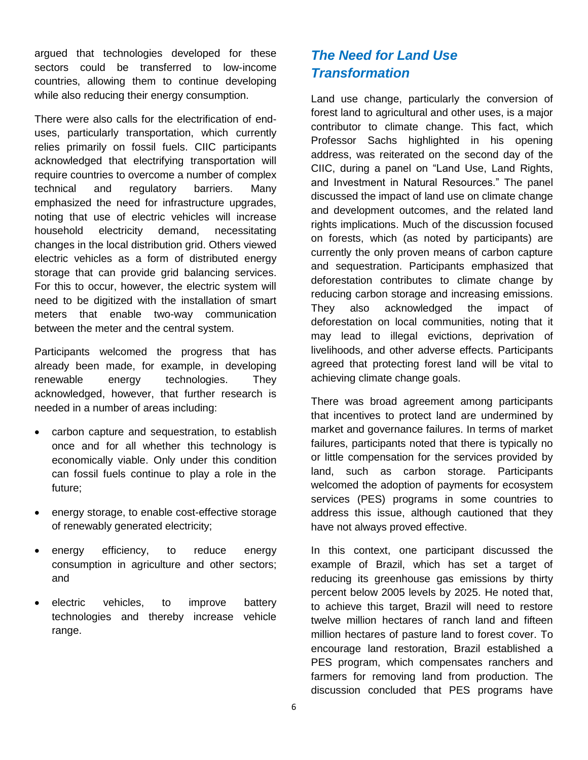argued that technologies developed for these sectors could be transferred to low-income countries, allowing them to continue developing while also reducing their energy consumption.

There were also calls for the electrification of enduses, particularly transportation, which currently relies primarily on fossil fuels. CIIC participants acknowledged that electrifying transportation will require countries to overcome a number of complex technical and regulatory barriers. Many emphasized the need for infrastructure upgrades, noting that use of electric vehicles will increase household electricity demand, necessitating changes in the local distribution grid. Others viewed electric vehicles as a form of distributed energy storage that can provide grid balancing services. For this to occur, however, the electric system will need to be digitized with the installation of smart meters that enable two-way communication between the meter and the central system.

Participants welcomed the progress that has already been made, for example, in developing renewable energy technologies. They acknowledged, however, that further research is needed in a number of areas including:

- carbon capture and sequestration, to establish once and for all whether this technology is economically viable. Only under this condition can fossil fuels continue to play a role in the future;
- energy storage, to enable cost-effective storage of renewably generated electricity;
- energy efficiency, to reduce energy consumption in agriculture and other sectors; and
- electric vehicles, to improve battery technologies and thereby increase vehicle range.

### *The Need for Land Use Transformation*

Land use change, particularly the conversion of forest land to agricultural and other uses, is a major contributor to climate change. This fact, which Professor Sachs highlighted in his opening address, was reiterated on the second day of the CIIC, during a panel on "Land Use, Land Rights, and Investment in Natural Resources." The panel discussed the impact of land use on climate change and development outcomes, and the related land rights implications. Much of the discussion focused on forests, which (as noted by participants) are currently the only proven means of carbon capture and sequestration. Participants emphasized that deforestation contributes to climate change by reducing carbon storage and increasing emissions. They also acknowledged the impact of deforestation on local communities, noting that it may lead to illegal evictions, deprivation of livelihoods, and other adverse effects. Participants agreed that protecting forest land will be vital to achieving climate change goals.

There was broad agreement among participants that incentives to protect land are undermined by market and governance failures. In terms of market failures, participants noted that there is typically no or little compensation for the services provided by land, such as carbon storage. Participants welcomed the adoption of payments for ecosystem services (PES) programs in some countries to address this issue, although cautioned that they have not always proved effective.

In this context, one participant discussed the example of Brazil, which has set a target of reducing its greenhouse gas emissions by thirty percent below 2005 levels by 2025. He noted that, to achieve this target, Brazil will need to restore twelve million hectares of ranch land and fifteen million hectares of pasture land to forest cover. To encourage land restoration, Brazil established a PES program, which compensates ranchers and farmers for removing land from production. The discussion concluded that PES programs have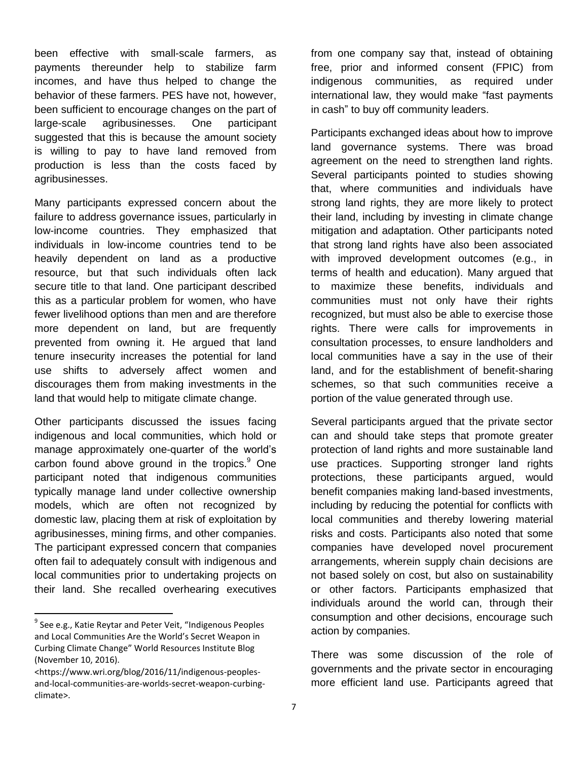been effective with small-scale farmers, as payments thereunder help to stabilize farm incomes, and have thus helped to change the behavior of these farmers. PES have not, however, been sufficient to encourage changes on the part of large-scale agribusinesses. One participant suggested that this is because the amount society is willing to pay to have land removed from production is less than the costs faced by agribusinesses.

Many participants expressed concern about the failure to address governance issues, particularly in low-income countries. They emphasized that individuals in low-income countries tend to be heavily dependent on land as a productive resource, but that such individuals often lack secure title to that land. One participant described this as a particular problem for women, who have fewer livelihood options than men and are therefore more dependent on land, but are frequently prevented from owning it. He argued that land tenure insecurity increases the potential for land use shifts to adversely affect women and discourages them from making investments in the land that would help to mitigate climate change.

Other participants discussed the issues facing indigenous and local communities, which hold or manage approximately one-quarter of the world's carbon found above ground in the tropics.<sup>9</sup> One participant noted that indigenous communities typically manage land under collective ownership models, which are often not recognized by domestic law, placing them at risk of exploitation by agribusinesses, mining firms, and other companies. The participant expressed concern that companies often fail to adequately consult with indigenous and local communities prior to undertaking projects on their land. She recalled overhearing executives

 $\overline{\phantom{a}}$ 

from one company say that, instead of obtaining free, prior and informed consent (FPIC) from indigenous communities, as required under international law, they would make "fast payments in cash" to buy off community leaders.

Participants exchanged ideas about how to improve land governance systems. There was broad agreement on the need to strengthen land rights. Several participants pointed to studies showing that, where communities and individuals have strong land rights, they are more likely to protect their land, including by investing in climate change mitigation and adaptation. Other participants noted that strong land rights have also been associated with improved development outcomes (e.g., in terms of health and education). Many argued that to maximize these benefits, individuals and communities must not only have their rights recognized, but must also be able to exercise those rights. There were calls for improvements in consultation processes, to ensure landholders and local communities have a say in the use of their land, and for the establishment of benefit-sharing schemes, so that such communities receive a portion of the value generated through use.

Several participants argued that the private sector can and should take steps that promote greater protection of land rights and more sustainable land use practices. Supporting stronger land rights protections, these participants argued, would benefit companies making land-based investments, including by reducing the potential for conflicts with local communities and thereby lowering material risks and costs. Participants also noted that some companies have developed novel procurement arrangements, wherein supply chain decisions are not based solely on cost, but also on sustainability or other factors. Participants emphasized that individuals around the world can, through their consumption and other decisions, encourage such action by companies.

There was some discussion of the role of governments and the private sector in encouraging more efficient land use. Participants agreed that

<sup>&</sup>lt;sup>9</sup> See e.g., Katie Reytar and Peter Veit, "Indigenous Peoples and Local Communities Are the World's Secret Weapon in Curbing Climate Change" World Resources Institute Blog (November 10, 2016).

<sup>&</sup>lt;https://www.wri.org/blog/2016/11/indigenous-peoplesand-local-communities-are-worlds-secret-weapon-curbingclimate>.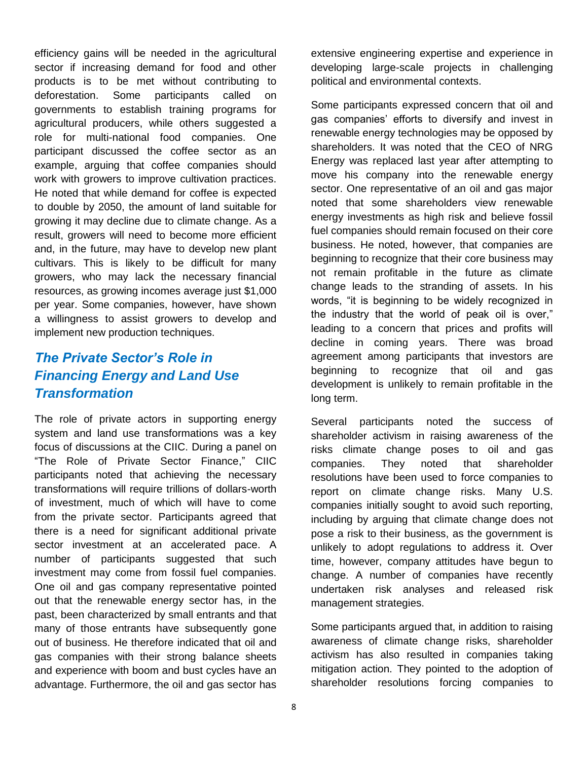efficiency gains will be needed in the agricultural sector if increasing demand for food and other products is to be met without contributing to deforestation. Some participants called on governments to establish training programs for agricultural producers, while others suggested a role for multi-national food companies. One participant discussed the coffee sector as an example, arguing that coffee companies should work with growers to improve cultivation practices. He noted that while demand for coffee is expected to double by 2050, the amount of land suitable for growing it may decline due to climate change. As a result, growers will need to become more efficient and, in the future, may have to develop new plant cultivars. This is likely to be difficult for many growers, who may lack the necessary financial resources, as growing incomes average just \$1,000 per year. Some companies, however, have shown a willingness to assist growers to develop and implement new production techniques.

#### *The Private Sector's Role in Financing Energy and Land Use Transformation*

The role of private actors in supporting energy system and land use transformations was a key focus of discussions at the CIIC. During a panel on "The Role of Private Sector Finance," CIIC participants noted that achieving the necessary transformations will require trillions of dollars-worth of investment, much of which will have to come from the private sector. Participants agreed that there is a need for significant additional private sector investment at an accelerated pace. A number of participants suggested that such investment may come from fossil fuel companies. One oil and gas company representative pointed out that the renewable energy sector has, in the past, been characterized by small entrants and that many of those entrants have subsequently gone out of business. He therefore indicated that oil and gas companies with their strong balance sheets and experience with boom and bust cycles have an advantage. Furthermore, the oil and gas sector has

extensive engineering expertise and experience in developing large-scale projects in challenging political and environmental contexts.

Some participants expressed concern that oil and gas companies' efforts to diversify and invest in renewable energy technologies may be opposed by shareholders. It was noted that the CEO of NRG Energy was replaced last year after attempting to move his company into the renewable energy sector. One representative of an oil and gas major noted that some shareholders view renewable energy investments as high risk and believe fossil fuel companies should remain focused on their core business. He noted, however, that companies are beginning to recognize that their core business may not remain profitable in the future as climate change leads to the stranding of assets. In his words, "it is beginning to be widely recognized in the industry that the world of peak oil is over," leading to a concern that prices and profits will decline in coming years. There was broad agreement among participants that investors are beginning to recognize that oil and gas development is unlikely to remain profitable in the long term.

Several participants noted the success of shareholder activism in raising awareness of the risks climate change poses to oil and gas companies. They noted that shareholder resolutions have been used to force companies to report on climate change risks. Many U.S. companies initially sought to avoid such reporting, including by arguing that climate change does not pose a risk to their business, as the government is unlikely to adopt regulations to address it. Over time, however, company attitudes have begun to change. A number of companies have recently undertaken risk analyses and released risk management strategies.

Some participants argued that, in addition to raising awareness of climate change risks, shareholder activism has also resulted in companies taking mitigation action. They pointed to the adoption of shareholder resolutions forcing companies to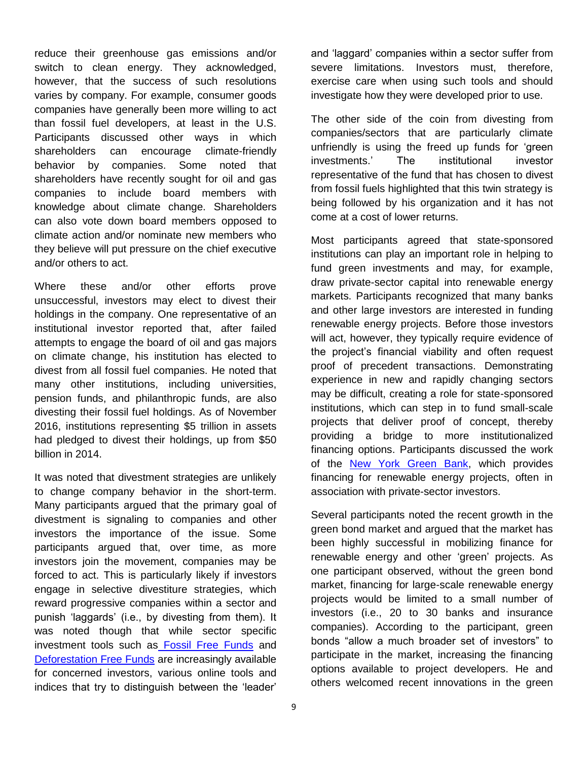reduce their greenhouse gas emissions and/or switch to clean energy. They acknowledged, however, that the success of such resolutions varies by company. For example, consumer goods companies have generally been more willing to act than fossil fuel developers, at least in the U.S. Participants discussed other ways in which shareholders can encourage climate-friendly behavior by companies. Some noted that shareholders have recently sought for oil and gas companies to include board members with knowledge about climate change. Shareholders can also vote down board members opposed to climate action and/or nominate new members who they believe will put pressure on the chief executive and/or others to act.

Where these and/or other efforts prove unsuccessful, investors may elect to divest their holdings in the company. One representative of an institutional investor reported that, after failed attempts to engage the board of oil and gas majors on climate change, his institution has elected to divest from all fossil fuel companies. He noted that many other institutions, including universities, pension funds, and philanthropic funds, are also divesting their fossil fuel holdings. As of November 2016, institutions representing \$5 trillion in assets had pledged to divest their holdings, up from \$50 billion in 2014.

It was noted that divestment strategies are unlikely to change company behavior in the short-term. Many participants argued that the primary goal of divestment is signaling to companies and other investors the importance of the issue. Some participants argued that, over time, as more investors join the movement, companies may be forced to act. This is particularly likely if investors engage in selective divestiture strategies, which reward progressive companies within a sector and punish 'laggards' (i.e., by divesting from them). It was noted though that while sector specific investment tools such as [Fossil Free Funds](https://fossilfreefunds.org/) and [Deforestation Free Funds](https://www.deforestationfreefunds.org/) are increasingly available for concerned investors, various online tools and indices that try to distinguish between the 'leader'

and 'laggard' companies within a sector suffer from severe limitations. Investors must, therefore, exercise care when using such tools and should investigate how they were developed prior to use.

The other side of the coin from divesting from companies/sectors that are particularly climate unfriendly is using the freed up funds for 'green investments.' The institutional investor representative of the fund that has chosen to divest from fossil fuels highlighted that this twin strategy is being followed by his organization and it has not come at a cost of lower returns.

Most participants agreed that state-sponsored institutions can play an important role in helping to fund green investments and may, for example, draw private-sector capital into renewable energy markets. Participants recognized that many banks and other large investors are interested in funding renewable energy projects. Before those investors will act, however, they typically require evidence of the project's financial viability and often request proof of precedent transactions. Demonstrating experience in new and rapidly changing sectors may be difficult, creating a role for state-sponsored institutions, which can step in to fund small-scale projects that deliver proof of concept, thereby providing a bridge to more institutionalized financing options. Participants discussed the work of the [New York Green Bank,](https://greenbank.ny.gov/) which provides financing for renewable energy projects, often in association with private-sector investors.

Several participants noted the recent growth in the green bond market and argued that the market has been highly successful in mobilizing finance for renewable energy and other 'green' projects. As one participant observed, without the green bond market, financing for large-scale renewable energy projects would be limited to a small number of investors (i.e., 20 to 30 banks and insurance companies). According to the participant, green bonds "allow a much broader set of investors" to participate in the market, increasing the financing options available to project developers. He and others welcomed recent innovations in the green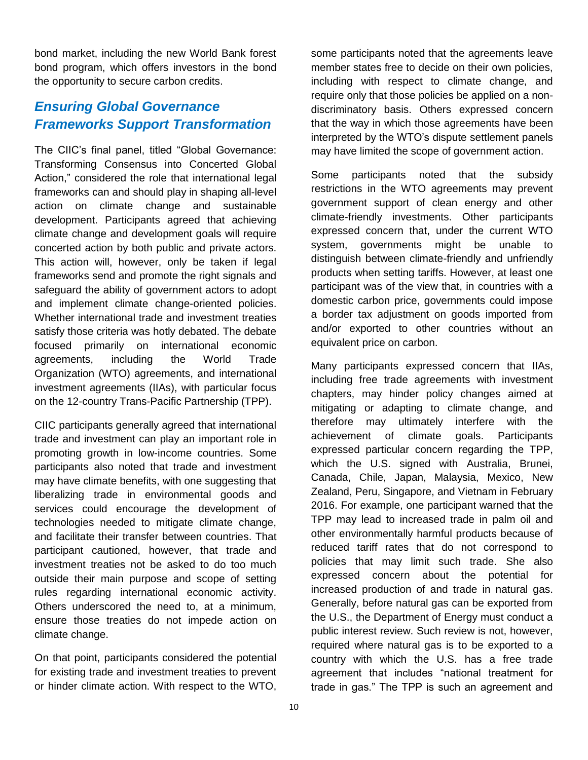bond market, including the new World Bank forest bond program, which offers investors in the bond the opportunity to secure carbon credits.

#### *Ensuring Global Governance Frameworks Support Transformation*

The CIIC's final panel, titled "Global Governance: Transforming Consensus into Concerted Global Action," considered the role that international legal frameworks can and should play in shaping all-level action on climate change and sustainable development. Participants agreed that achieving climate change and development goals will require concerted action by both public and private actors. This action will, however, only be taken if legal frameworks send and promote the right signals and safeguard the ability of government actors to adopt and implement climate change-oriented policies. Whether international trade and investment treaties satisfy those criteria was hotly debated. The debate focused primarily on international economic agreements, including the World Trade Organization (WTO) agreements, and international investment agreements (IIAs), with particular focus on the 12-country Trans-Pacific Partnership (TPP).

CIIC participants generally agreed that international trade and investment can play an important role in promoting growth in low-income countries. Some participants also noted that trade and investment may have climate benefits, with one suggesting that liberalizing trade in environmental goods and services could encourage the development of technologies needed to mitigate climate change, and facilitate their transfer between countries. That participant cautioned, however, that trade and investment treaties not be asked to do too much outside their main purpose and scope of setting rules regarding international economic activity. Others underscored the need to, at a minimum, ensure those treaties do not impede action on climate change.

On that point, participants considered the potential for existing trade and investment treaties to prevent or hinder climate action. With respect to the WTO,

some participants noted that the agreements leave member states free to decide on their own policies, including with respect to climate change, and require only that those policies be applied on a nondiscriminatory basis. Others expressed concern that the way in which those agreements have been interpreted by the WTO's dispute settlement panels may have limited the scope of government action.

Some participants noted that the subsidy restrictions in the WTO agreements may prevent government support of clean energy and other climate-friendly investments. Other participants expressed concern that, under the current WTO system, governments might be unable to distinguish between climate-friendly and unfriendly products when setting tariffs. However, at least one participant was of the view that, in countries with a domestic carbon price, governments could impose a border tax adjustment on goods imported from and/or exported to other countries without an equivalent price on carbon.

Many participants expressed concern that IIAs, including free trade agreements with investment chapters, may hinder policy changes aimed at mitigating or adapting to climate change, and therefore may ultimately interfere with the achievement of climate goals. Participants expressed particular concern regarding the TPP, which the U.S. signed with Australia, Brunei, Canada, Chile, Japan, Malaysia, Mexico, New Zealand, Peru, Singapore, and Vietnam in February 2016. For example, one participant warned that the TPP may lead to increased trade in palm oil and other environmentally harmful products because of reduced tariff rates that do not correspond to policies that may limit such trade. She also expressed concern about the potential for increased production of and trade in natural gas. Generally, before natural gas can be exported from the U.S., the Department of Energy must conduct a public interest review. Such review is not, however, required where natural gas is to be exported to a country with which the U.S. has a free trade agreement that includes "national treatment for trade in gas." The TPP is such an agreement and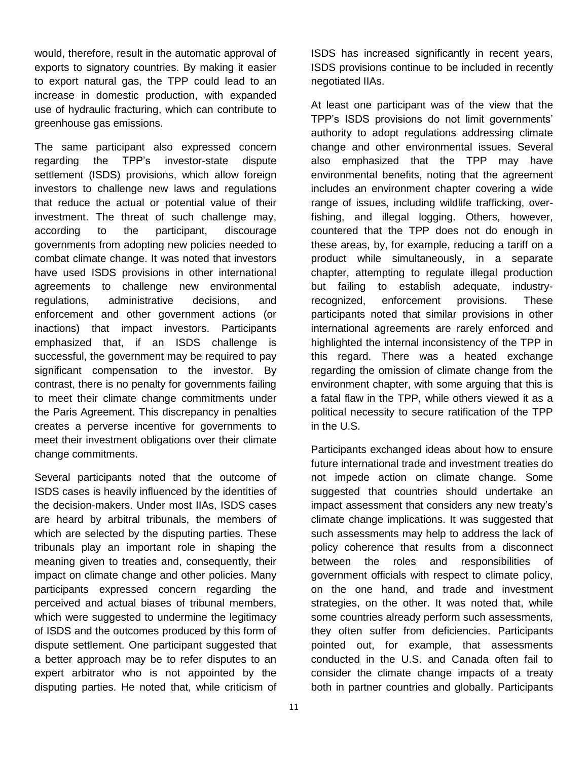would, therefore, result in the automatic approval of exports to signatory countries. By making it easier to export natural gas, the TPP could lead to an increase in domestic production, with expanded use of hydraulic fracturing, which can contribute to greenhouse gas emissions.

The same participant also expressed concern regarding the TPP's investor-state dispute settlement (ISDS) provisions, which allow foreign investors to challenge new laws and regulations that reduce the actual or potential value of their investment. The threat of such challenge may, according to the participant, discourage governments from adopting new policies needed to combat climate change. It was noted that investors have used ISDS provisions in other international agreements to challenge new environmental regulations, administrative decisions, and enforcement and other government actions (or inactions) that impact investors. Participants emphasized that, if an ISDS challenge is successful, the government may be required to pay significant compensation to the investor. By contrast, there is no penalty for governments failing to meet their climate change commitments under the Paris Agreement. This discrepancy in penalties creates a perverse incentive for governments to meet their investment obligations over their climate change commitments.

Several participants noted that the outcome of ISDS cases is heavily influenced by the identities of the decision-makers. Under most IIAs, ISDS cases are heard by arbitral tribunals, the members of which are selected by the disputing parties. These tribunals play an important role in shaping the meaning given to treaties and, consequently, their impact on climate change and other policies. Many participants expressed concern regarding the perceived and actual biases of tribunal members, which were suggested to undermine the legitimacy of ISDS and the outcomes produced by this form of dispute settlement. One participant suggested that a better approach may be to refer disputes to an expert arbitrator who is not appointed by the disputing parties. He noted that, while criticism of

ISDS has increased significantly in recent years, ISDS provisions continue to be included in recently negotiated IIAs.

At least one participant was of the view that the TPP's ISDS provisions do not limit governments' authority to adopt regulations addressing climate change and other environmental issues. Several also emphasized that the TPP may have environmental benefits, noting that the agreement includes an environment chapter covering a wide range of issues, including wildlife trafficking, overfishing, and illegal logging. Others, however, countered that the TPP does not do enough in these areas, by, for example, reducing a tariff on a product while simultaneously, in a separate chapter, attempting to regulate illegal production but failing to establish adequate, industryrecognized, enforcement provisions. These participants noted that similar provisions in other international agreements are rarely enforced and highlighted the internal inconsistency of the TPP in this regard. There was a heated exchange regarding the omission of climate change from the environment chapter, with some arguing that this is a fatal flaw in the TPP, while others viewed it as a political necessity to secure ratification of the TPP in the U.S.

Participants exchanged ideas about how to ensure future international trade and investment treaties do not impede action on climate change. Some suggested that countries should undertake an impact assessment that considers any new treaty's climate change implications. It was suggested that such assessments may help to address the lack of policy coherence that results from a disconnect between the roles and responsibilities of government officials with respect to climate policy, on the one hand, and trade and investment strategies, on the other. It was noted that, while some countries already perform such assessments, they often suffer from deficiencies. Participants pointed out, for example, that assessments conducted in the U.S. and Canada often fail to consider the climate change impacts of a treaty both in partner countries and globally. Participants